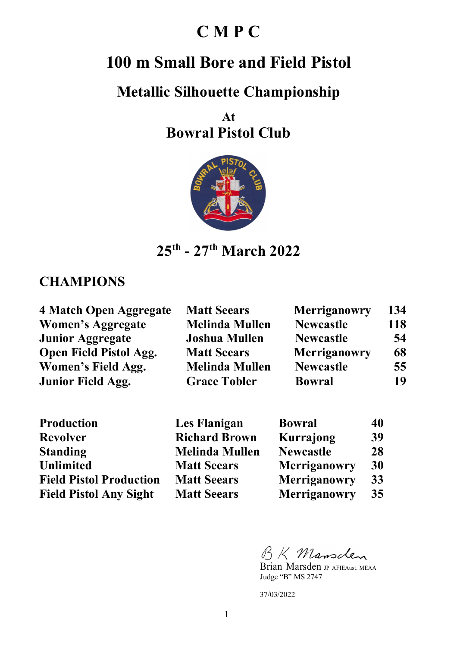## **C M P C**

# **100 m Small Bore and Field Pistol**

### **Metallic Silhouette Championship**

**At Bowral Pistol Club** 



**25th - 27th March 2022** 

#### **CHAMPIONS**

| <b>4 Match Open Aggregate</b> | <b>Matt Seears</b>    | <b>Merriganowry</b> | 134 |
|-------------------------------|-----------------------|---------------------|-----|
| Women's Aggregate             | <b>Melinda Mullen</b> | <b>Newcastle</b>    | 118 |
| <b>Junior Aggregate</b>       | <b>Joshua Mullen</b>  | <b>Newcastle</b>    | 54  |
| <b>Open Field Pistol Agg.</b> | <b>Matt Seears</b>    | <b>Merriganowry</b> | 68  |
| Women's Field Agg.            | <b>Melinda Mullen</b> | <b>Newcastle</b>    | 55  |
| <b>Junior Field Agg.</b>      | <b>Grace Tobler</b>   | <b>Bowral</b>       | 19  |

| <b>Production</b>              | Les Flanigan          | <b>Bowral</b>       | 40 |
|--------------------------------|-----------------------|---------------------|----|
| <b>Revolver</b>                | <b>Richard Brown</b>  | Kurrajong           | 39 |
| <b>Standing</b>                | <b>Melinda Mullen</b> | <b>Newcastle</b>    | 28 |
| <b>Unlimited</b>               | <b>Matt Seears</b>    | <b>Merriganowry</b> | 30 |
| <b>Field Pistol Production</b> | <b>Matt Seears</b>    | <b>Merriganowry</b> | 33 |
| <b>Field Pistol Any Sight</b>  | <b>Matt Seears</b>    | <b>Merriganowry</b> | 35 |

BK Mansclen

Brian Marsden JP AFIEAust. MEAA Judge "B" MS 2747

37/03/2022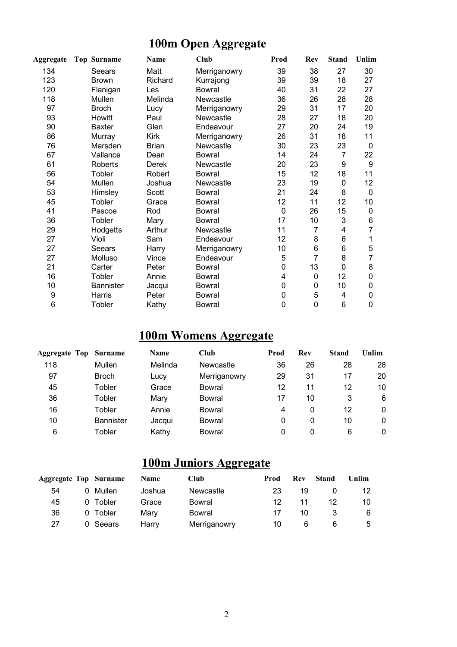### **100m Open Aggregate**

| Aggregate | <b>Top Surname</b> | Name         | Club          | Prod             | <b>Rev</b>      | <b>Stand</b>   | Unlim           |
|-----------|--------------------|--------------|---------------|------------------|-----------------|----------------|-----------------|
| 134       | <b>Seears</b>      | Matt         | Merriganowry  | 39               | 38              | 27             | 30              |
| 123       | <b>Brown</b>       | Richard      | Kurrajong     | 39               | 39              | 18             | 27              |
| 120       | Flanigan           | Les          | Bowral        | 40               | 31              | 22             | 27              |
| 118       | Mullen             | Melinda      | Newcastle     | 36               | 26              | 28             | 28              |
| 97        | <b>Broch</b>       | Lucy         | Merriganowry  | 29               | 31              | 17             | 20              |
| 93        | Howitt             | Paul         | Newcastle     | 28               | 27              | 18             | 20              |
| 90        | <b>Baxter</b>      | Glen         | Endeavour     | 27               | 20              | 24             | 19              |
| 86        | Murray             | Kirk         | Merriganowry  | 26               | 31              | 18             | 11              |
| 76        | Marsden            | <b>Brian</b> | Newcastle     | 30               | 23              | 23             | 0               |
| 67        | Vallance           | Dean         | Bowral        | 14               | 24              | $\overline{7}$ | 22              |
| 61        | Roberts            | Derek        | Newcastle     | 20               | 23              | 9              | 9               |
| 56        | Tobler             | Robert       | Bowral        | 15               | 12              | 18             | 11              |
| 54        | Mullen             | Joshua       | Newcastle     | 23               | 19              | 0              | 12 <sub>2</sub> |
| 53        | Himsley            | Scott        | Bowral        | 21               | 24              | 8              | 0               |
| 45        | Tobler             | Grace        | Bowral        | 12               | 11              | 12             | 10 <sup>1</sup> |
| 41        | Pascoe             | Rod          | <b>Bowral</b> | $\mathbf 0$      | 26              | 15             | 0               |
| 36        | Tobler             | Mary         | <b>Bowral</b> | 17               | 10              | 3              | 6               |
| 29        | Hodgetts           | Arthur       | Newcastle     | 11               | $\overline{7}$  | 4              | 7               |
| 27        | Violi              | Sam          | Endeavour     | 12               | 8               | 6              | 1               |
| 27        | Seears             | Harry        | Merriganowry  | 10               | $6\phantom{1}6$ | 6              | 5               |
| 27        | Molluso            | Vince        | Endeavour     | 5                | 7               | 8              | 7               |
| 21        | Carter             | Peter        | <b>Bowral</b> | 0                | 13              | $\mathbf 0$    | 8               |
| 16        | Tobler             | Annie        | <b>Bowral</b> | 4                | $\mathbf 0$     | 12             | $\pmb{0}$       |
| 10        | <b>Bannister</b>   | Jacqui       | <b>Bowral</b> | 0                | $\mathbf 0$     | 10             | 0               |
| 9         | Harris             | Peter        | <b>Bowral</b> | $\boldsymbol{0}$ | 5               | 4              | $\pmb{0}$       |
| 6         | Tobler             | Kathy        | <b>Bowral</b> | $\mathbf 0$      | $\mathbf 0$     | 6              | $\mathbf 0$     |
|           |                    |              |               |                  |                 |                |                 |

### **100m Womens Aggregate**

| Aggregate Top | <b>Surname</b>   | <b>Name</b> | Club         | Prod | <b>Rev</b> | <b>Stand</b> | Unlim        |
|---------------|------------------|-------------|--------------|------|------------|--------------|--------------|
| 118           | Mullen           | Melinda     | Newcastle    | 36   | 26         | 28           | 28           |
| 97            | <b>Broch</b>     | Lucy        | Merriganowry | 29   | 31         | 17           | 20           |
| 45            | Tobler           | Grace       | Bowral       | 12   | 11         | 12           | 10           |
| 36            | Tobler           | Mary        | Bowral       | 17   | 10         | 3            | 6            |
| 16            | Tobler           | Annie       | Bowral       | 4    | 0          | 12           | $\mathbf{0}$ |
| 10            | <b>Bannister</b> | Jacqui      | Bowral       | 0    | 0          | 10           | 0            |
| 6             | Tobler           | Kathy       | Bowral       | 0    | 0          | 6            | 0            |

#### **100m Juniors Aggregate**

| <b>Aggregate Top Surname</b> |          | <b>Name</b> | <b>Club</b>  | Prod | <b>Rev</b> | Stand | Unlim |
|------------------------------|----------|-------------|--------------|------|------------|-------|-------|
| 54                           | 0 Mullen | Joshua      | Newcastle    | 23   | 19         |       | 12    |
| 45                           | 0 Tobler | Grace       | Bowral       | 12   | 11         | 12    | 10    |
| 36                           | 0 Tobler | Marv        | Bowral       | 17   | 10         |       | 6     |
| 27                           | 0 Seears | Harry       | Merriganowry | 10   | 6          |       | 5     |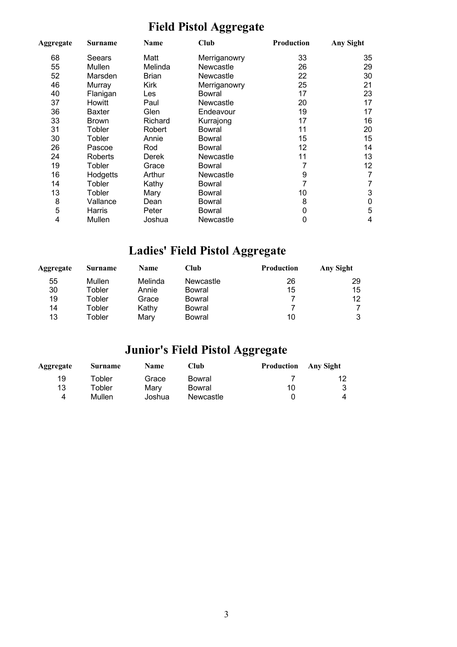# **Field Pistol Aggregate**

| Aggregate | <b>Surname</b> | <b>Name</b>  | Club         | Production | Any Sight |
|-----------|----------------|--------------|--------------|------------|-----------|
| 68        | Seears         | Matt         | Merriganowry | 33         | 35        |
| 55        | Mullen         | Melinda      | Newcastle    | 26         | 29        |
| 52        | Marsden        | <b>Brian</b> | Newcastle    | 22         | 30        |
| 46        | Murray         | Kirk         | Merriganowry | 25         | 21        |
| 40        | Flanigan       | Les          | Bowral       | 17         | 23        |
| 37        | Howitt         | Paul         | Newcastle    | 20         | 17        |
| 36        | <b>Baxter</b>  | Glen         | Endeavour    | 19         | 17        |
| 33        | <b>Brown</b>   | Richard      | Kurrajong    | 17         | 16        |
| 31        | Tobler         | Robert       | Bowral       | 11         | 20        |
| 30        | Tobler         | Annie        | Bowral       | 15         | 15        |
| 26        | Pascoe         | Rod          | Bowral       | 12         | 14        |
| 24        | <b>Roberts</b> | Derek        | Newcastle    | 11         | 13        |
| 19        | Tobler         | Grace        | Bowral       | 7          | 12        |
| 16        | Hodgetts       | Arthur       | Newcastle    | 9          | 7         |
| 14        | Tobler         | Kathy        | Bowral       | 7          | 7         |
| 13        | Tobler         | Mary         | Bowral       | 10         | 3         |
| 8         | Vallance       | Dean         | Bowral       | 8          | 0         |
| 5         | Harris         | Peter        | Bowral       | 0          | 5         |
| 4         | Mullen         | Joshua       | Newcastle    | 0          | 4         |

## **Ladies' Field Pistol Aggregate**

| Aggregate | <b>Surname</b> | <b>Name</b> | Club      | Production | Any Sight |
|-----------|----------------|-------------|-----------|------------|-----------|
| 55        | Mullen         | Melinda     | Newcastle | 26         | 29        |
| 30        | Tobler         | Annie       | Bowral    | 15         | 15        |
| 19        | Tobler         | Grace       | Bowral    |            | 12        |
| 14        | Tobler         | Kathy       | Bowral    |            |           |
| 13        | Tobler         | Mary        | Bowral    | 10         | 3         |

# **Junior's Field Pistol Aggregate**

| Aggregate | Surname       | <b>Name</b> | Club.     | <b>Production</b> Any Sight |  |
|-----------|---------------|-------------|-----------|-----------------------------|--|
| 19        | <b>Tobler</b> | Grace       | Bowral    |                             |  |
| 13        | Tobler        | Marv        | Bowral    | 10                          |  |
|           | Mullen        | Joshua      | Newcastle |                             |  |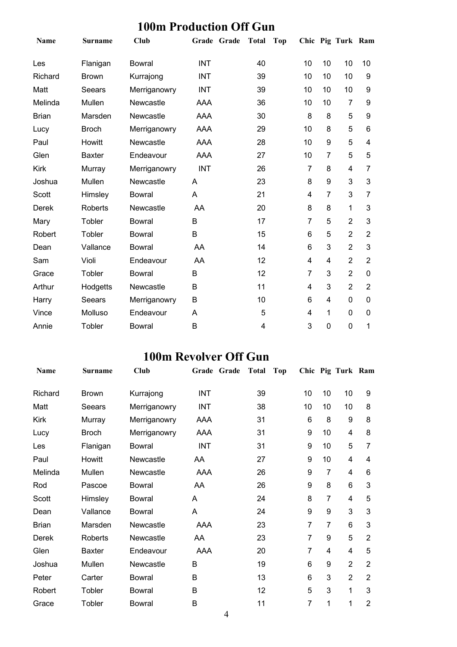### **100m Production Off Gun**

| <b>Name</b>  | Surname       | <b>Club</b>   | Grade Grade | <b>Total</b> | <b>Top</b> |                |                | Chic Pig Turk Ram |                |
|--------------|---------------|---------------|-------------|--------------|------------|----------------|----------------|-------------------|----------------|
| Les          | Flanigan      | <b>Bowral</b> | <b>INT</b>  | 40           |            | 10             | 10             | 10                | 10             |
| Richard      | <b>Brown</b>  | Kurrajong     | <b>INT</b>  | 39           |            | 10             | 10             | 10                | 9              |
| Matt         | Seears        | Merriganowry  | <b>INT</b>  | 39           |            | 10             | 10             | 10                | 9              |
| Melinda      | Mullen        | Newcastle     | AAA         | 36           |            | 10             | 10             | 7                 | 9              |
| <b>Brian</b> | Marsden       | Newcastle     | <b>AAA</b>  | 30           |            | 8              | 8              | 5                 | 9              |
| Lucy         | <b>Broch</b>  | Merriganowry  | AAA         | 29           |            | 10             | 8              | 5                 | 6              |
| Paul         | Howitt        | Newcastle     | AAA         | 28           |            | 10             | 9              | 5                 | 4              |
| Glen         | <b>Baxter</b> | Endeavour     | AAA         | 27           |            | 10             | 7              | 5                 | 5              |
| <b>Kirk</b>  | Murray        | Merriganowry  | <b>INT</b>  | 26           |            | $\overline{7}$ | 8              | 4                 | 7              |
| Joshua       | Mullen        | Newcastle     | A           | 23           |            | 8              | 9              | 3                 | 3              |
| Scott        | Himsley       | <b>Bowral</b> | A           | 21           |            | 4              | $\overline{7}$ | 3                 | 7              |
| <b>Derek</b> | Roberts       | Newcastle     | AA          | 20           |            | 8              | 8              | 1                 | 3              |
| Mary         | Tobler        | <b>Bowral</b> | B           | 17           |            | $\overline{7}$ | 5              | $\overline{2}$    | 3              |
| Robert       | Tobler        | <b>Bowral</b> | B           | 15           |            | 6              | 5              | $\overline{2}$    | $\overline{2}$ |
| Dean         | Vallance      | <b>Bowral</b> | AA          | 14           |            | 6              | 3              | $\overline{2}$    | 3              |
| Sam          | Violi         | Endeavour     | AA          | 12           |            | 4              | 4              | 2                 | $\overline{2}$ |
| Grace        | Tobler        | <b>Bowral</b> | B           | 12           |            | 7              | 3              | $\overline{2}$    | 0              |
| Arthur       | Hodgetts      | Newcastle     | B           | 11           |            | 4              | 3              | $\overline{2}$    | $\overline{2}$ |
| Harry        | Seears        | Merriganowry  | B           | 10           |            | 6              | 4              | 0                 | 0              |
| Vince        | Molluso       | Endeavour     | A           | 5            |            | 4              | 1              | 0                 | 0              |
| Annie        | Tobler        | <b>Bowral</b> | B           | 4            |            | 3              | 0              | 0                 | 1              |

#### **100m Revolver Off Gun**

| <b>Name</b>  | <b>Surname</b> | Club          | Grade Grade | <b>Total</b> | <b>Top</b> |                |                | Chic Pig Turk Ram |                |
|--------------|----------------|---------------|-------------|--------------|------------|----------------|----------------|-------------------|----------------|
| Richard      | <b>Brown</b>   | Kurrajong     | INT         | 39           |            | 10             | 10             | 10                | 9              |
| Matt         | Seears         | Merriganowry  | <b>INT</b>  | 38           |            | 10             | 10             | 10                | 8              |
| <b>Kirk</b>  | Murray         | Merriganowry  | AAA         | 31           |            | 6              | 8              | 9                 | 8              |
| Lucy         | <b>Broch</b>   | Merriganowry  | AAA         | 31           |            | 9              | 10             | 4                 | 8              |
| Les          | Flanigan       | <b>Bowral</b> | <b>INT</b>  | 31           |            | 9              | 10             | 5                 | 7              |
| Paul         | Howitt         | Newcastle     | AA          | 27           |            | 9              | 10             | 4                 | 4              |
| Melinda      | Mullen         | Newcastle     | AAA         | 26           |            | 9              | $\overline{7}$ | 4                 | 6              |
| Rod          | Pascoe         | <b>Bowral</b> | AA          | 26           |            | 9              | 8              | 6                 | 3              |
| Scott        | Himsley        | <b>Bowral</b> | A           | 24           |            | 8              | $\overline{7}$ | 4                 | 5              |
| Dean         | Vallance       | <b>Bowral</b> | A           | 24           |            | 9              | 9              | 3                 | 3              |
| <b>Brian</b> | Marsden        | Newcastle     | AAA         | 23           |            | $\overline{7}$ | $\overline{7}$ | 6                 | 3              |
| Derek        | <b>Roberts</b> | Newcastle     | AA          | 23           |            | 7              | 9              | 5                 | $\overline{2}$ |
| Glen         | <b>Baxter</b>  | Endeavour     | AAA         | 20           |            | 7              | 4              | 4                 | 5              |
| Joshua       | Mullen         | Newcastle     | B           | 19           |            | 6              | 9              | $\overline{2}$    | $\overline{2}$ |
| Peter        | Carter         | Bowral        | B           | 13           |            | 6              | 3              | $\overline{2}$    | $\overline{2}$ |
| Robert       | Tobler         | <b>Bowral</b> | B           | 12           |            | 5              | 3              | 1                 | 3              |
| Grace        | Tobler         | <b>Bowral</b> | B           | 11           |            | 7              | 1              | 1                 | 2              |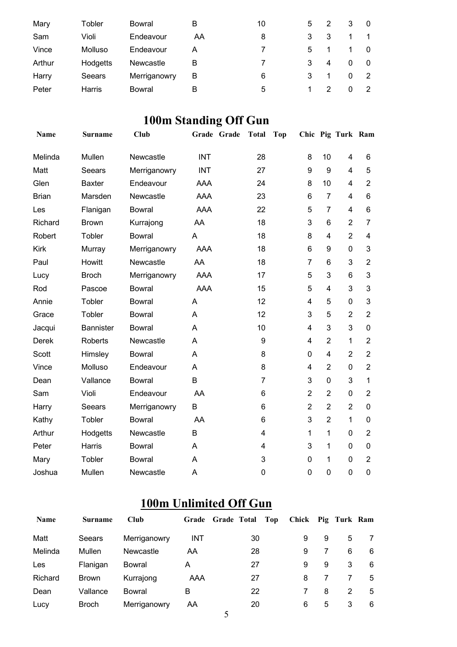| Mary   | Tobler   | Bowral       | В  | 10 | 5 |   |   | $\overline{0}$ |
|--------|----------|--------------|----|----|---|---|---|----------------|
| Sam    | Violi    | Endeavour    | AA | 8  | 3 | 3 |   | -1             |
| Vince  | Molluso  | Endeavour    |    |    | 5 |   |   | $\Omega$       |
| Arthur | Hodgetts | Newcastle    | В  |    | 3 | 4 |   | 0              |
| Harry  | Seears   | Merriganowry | B  | 6  |   |   | 0 | -2             |
| Peter  | Harris   | Bowral       | В  | 5  |   |   |   | 2              |

# **100m Standing Off Gun**

| Name         | <b>Surname</b>   | <b>Club</b>   | Grade Grade | <b>Total</b> | <b>Top</b> |                |                | Chic Pig Turk Ram       |                         |
|--------------|------------------|---------------|-------------|--------------|------------|----------------|----------------|-------------------------|-------------------------|
| Melinda      | Mullen           | Newcastle     | <b>INT</b>  | 28           |            | 8              | 10             | $\overline{4}$          | 6                       |
| Matt         | Seears           | Merriganowry  | <b>INT</b>  | 27           |            | 9              | 9              | $\overline{4}$          | 5                       |
| Glen         | <b>Baxter</b>    | Endeavour     | AAA         | 24           |            | 8              | 10             | $\overline{4}$          | $\overline{2}$          |
| <b>Brian</b> | Marsden          | Newcastle     | <b>AAA</b>  | 23           |            | 6              | $\overline{7}$ | $\overline{\mathbf{4}}$ | 6                       |
| Les          | Flanigan         | <b>Bowral</b> | <b>AAA</b>  | 22           |            | 5              | $\overline{7}$ | $\overline{4}$          | 6                       |
| Richard      | <b>Brown</b>     | Kurrajong     | AA          | 18           |            | 3              | 6              | $\overline{2}$          | $\overline{7}$          |
| Robert       | Tobler           | <b>Bowral</b> | A           | 18           |            | 8              | 4              | $\overline{2}$          | $\overline{\mathbf{4}}$ |
| <b>Kirk</b>  | Murray           | Merriganowry  | <b>AAA</b>  | 18           |            | 6              | 9              | $\mathbf 0$             | 3                       |
| Paul         | Howitt           | Newcastle     | AA          | 18           |            | $\overline{7}$ | 6              | 3                       | $\overline{2}$          |
| Lucy         | <b>Broch</b>     | Merriganowry  | <b>AAA</b>  | 17           |            | 5              | 3              | 6                       | 3                       |
| Rod          | Pascoe           | <b>Bowral</b> | AAA         | 15           |            | 5              | $\overline{4}$ | 3                       | 3                       |
| Annie        | Tobler           | <b>Bowral</b> | A           | 12           |            | $\overline{4}$ | 5              | 0                       | 3                       |
| Grace        | Tobler           | <b>Bowral</b> | A           | 12           |            | 3              | 5              | $\overline{2}$          | $\overline{2}$          |
| Jacqui       | <b>Bannister</b> | <b>Bowral</b> | A           | 10           |            | $\overline{4}$ | 3              | 3                       | $\mathbf 0$             |
| Derek        | Roberts          | Newcastle     | A           | 9            |            | 4              | $\overline{2}$ | 1                       | $\overline{2}$          |
| Scott        | Himsley          | <b>Bowral</b> | A           | 8            |            | 0              | 4              | $\overline{2}$          | $\overline{2}$          |
| Vince        | Molluso          | Endeavour     | A           | 8            |            | 4              | $\overline{2}$ | $\mathbf 0$             | $\overline{2}$          |
| Dean         | Vallance         | Bowral        | B           | 7            |            | 3              | $\mathbf 0$    | 3                       | $\mathbf{1}$            |
| Sam          | Violi            | Endeavour     | AA          | 6            |            | $\overline{2}$ | $\overline{2}$ | $\mathbf 0$             | $\overline{2}$          |
| Harry        | Seears           | Merriganowry  | B           | 6            |            | $\overline{2}$ | $\overline{2}$ | $\overline{2}$          | 0                       |
| Kathy        | Tobler           | <b>Bowral</b> | AA          | 6            |            | 3              | $\overline{2}$ | 1                       | 0                       |
| Arthur       | Hodgetts         | Newcastle     | B           | 4            |            | 1              | 1              | 0                       | $\overline{2}$          |
| Peter        | Harris           | Bowral        | Α           | 4            |            | 3              | 1              | 0                       | 0                       |
| Mary         | Tobler           | <b>Bowral</b> | A           | 3            |            | 0              | 1              | 0                       | $\overline{2}$          |
| Joshua       | Mullen           | Newcastle     | A           | $\mathbf 0$  |            | $\overline{0}$ | $\mathbf 0$    | $\mathbf 0$             | 0                       |

### **100m Unlimited Off Gun**

| <b>Name</b> | <b>Surname</b> | <b>Club</b>  |            | Grade Grade Total<br>Top | Chick Pig Turk Ram |   |   |    |
|-------------|----------------|--------------|------------|--------------------------|--------------------|---|---|----|
| Matt        | Seears         | Merriganowry | <b>INT</b> | 30                       | 9                  | 9 | 5 | 7  |
| Melinda     | Mullen         | Newcastle    | AA         | 28                       | 9                  |   | 6 | 6  |
| Les         | Flanigan       | Bowral       | A          | 27                       | 9                  | 9 | 3 | 6  |
| Richard     | Brown          | Kurrajong    | AAA        | 27                       | 8                  |   |   | 5  |
| Dean        | Vallance       | Bowral       | В          | 22                       |                    | 8 | 2 | -5 |
| Lucy        | <b>Broch</b>   | Merriganowry | AA         | 20                       | 6                  | 5 | 3 | 6  |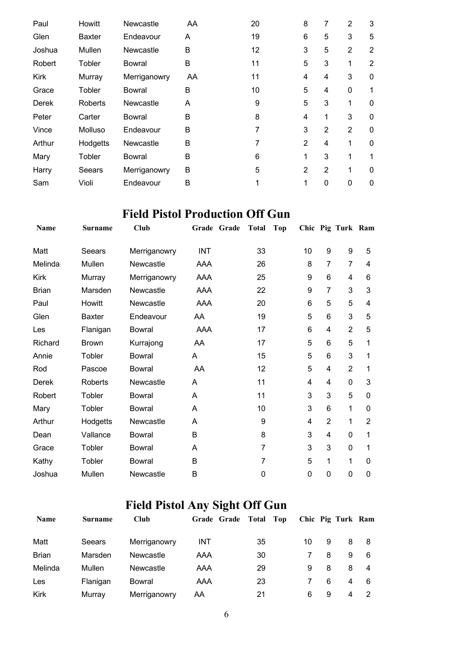| Paul        | Howitt         | Newcastle     | AA | 20 | 8              | 7              | 2              | 3              |
|-------------|----------------|---------------|----|----|----------------|----------------|----------------|----------------|
| Glen        | <b>Baxter</b>  | Endeavour     | A  | 19 | 6              | 5              | 3              | 5              |
| Joshua      | Mullen         | Newcastle     | B  | 12 | 3              | 5              | $\overline{2}$ | $\overline{2}$ |
| Robert      | Tobler         | Bowral        | B  | 11 | 5              | 3              |                | 2              |
| <b>Kirk</b> | Murray         | Merriganowry  | AA | 11 | 4              | 4              | 3              | 0              |
| Grace       | Tobler         | Bowral        | В  | 10 | 5              | 4              | 0              | 1              |
| Derek       | <b>Roberts</b> | Newcastle     | A  | 9  | 5              | 3              | 1              | 0              |
| Peter       | Carter         | Bowral        | B  | 8  | 4              | 1              | 3              | $\Omega$       |
| Vince       | Molluso        | Endeavour     | B  | 7  | 3              | 2              | 2              | $\Omega$       |
| Arthur      | Hodgetts       | Newcastle     | B  | 7  | $\overline{2}$ | 4              | 1              | $\Omega$       |
| Mary        | Tobler         | <b>Bowral</b> | B  | 6  | 1              | 3              | 1              | 1              |
| Harry       | Seears         | Merriganowry  | B  | 5  | $\overline{2}$ | $\overline{2}$ | 1              | $\mathbf{0}$   |
| Sam         | Violi          | Endeavour     | B  |    | 1              | $\mathbf 0$    | $\mathbf{0}$   | $\mathbf{0}$   |

#### **Field Pistol Production Off Gun**

| <b>Name</b>  | <b>Surname</b> | Club          | Grade<br>Grade | <b>Total</b> | <b>Top</b> |    |                | Chic Pig Turk Ram |                |
|--------------|----------------|---------------|----------------|--------------|------------|----|----------------|-------------------|----------------|
| Matt         | Seears         | Merriganowry  | <b>INT</b>     | 33           |            | 10 | 9              | 9                 | 5              |
| Melinda      | Mullen         | Newcastle     | AAA            | 26           |            | 8  | 7              | $\overline{7}$    | 4              |
| <b>Kirk</b>  | Murray         | Merriganowry  | AAA            | 25           |            | 9  | 6              | 4                 | 6              |
| <b>Brian</b> | Marsden        | Newcastle     | AAA            | 22           |            | 9  | $\overline{7}$ | 3                 | 3              |
| Paul         | Howitt         | Newcastle     | AAA            | 20           |            | 6  | 5              | 5                 | 4              |
| Glen         | <b>Baxter</b>  | Endeavour     | AA             | 19           |            | 5  | 6              | 3                 | 5              |
| Les          | Flanigan       | <b>Bowral</b> | AAA            | 17           |            | 6  | 4              | $\overline{2}$    | 5              |
| Richard      | <b>Brown</b>   | Kurrajong     | AA             | 17           |            | 5  | 6              | 5                 | 1              |
| Annie        | Tobler         | <b>Bowral</b> | A              | 15           |            | 5  | 6              | 3                 | 1              |
| Rod          | Pascoe         | Bowral        | AA             | 12           |            | 5  | 4              | $\overline{2}$    | 1              |
| Derek        | Roberts        | Newcastle     | A              | 11           |            | 4  | 4              | 0                 | 3              |
| Robert       | Tobler         | <b>Bowral</b> | A              | 11           |            | 3  | 3              | 5                 | 0              |
| Mary         | Tobler         | <b>Bowral</b> | A              | 10           |            | 3  | 6              | 1                 | 0              |
| Arthur       | Hodgetts       | Newcastle     | A              | 9            |            | 4  | $\overline{2}$ | 1                 | $\overline{2}$ |
| Dean         | Vallance       | <b>Bowral</b> | B              | 8            |            | 3  | 4              | 0                 | 1              |
| Grace        | Tobler         | <b>Bowral</b> | A              | 7            |            | 3  | 3              | 0                 | 1              |
| Kathy        | Tobler         | Bowral        | B              | 7            |            | 5  | 1              | 1                 | 0              |
| Joshua       | Mullen         | Newcastle     | B              | 0            |            | 0  | 0              | $\mathbf 0$       | 0              |

## **Field Pistol Any Sight Off Gun**

| <b>Name</b>  | <b>Surname</b> | Club         | Grade Grade | Top<br>Total |    |   | Chic Pig Turk Ram |    |
|--------------|----------------|--------------|-------------|--------------|----|---|-------------------|----|
| Matt         | Seears         | Merriganowry | INT         | 35           | 10 | 9 | 8                 | -8 |
| <b>Brian</b> | Marsden        | Newcastle    | AAA         | 30           |    | 8 | 9                 | 6  |
| Melinda      | Mullen         | Newcastle    | AAA         | 29           | 9  | 8 | 8                 | -4 |
| Les          | Flanigan       | Bowral       | AAA         | 23           |    | 6 | 4                 | 6  |
| <b>Kirk</b>  | Murray         | Merriganowry | AA          | 21           | 6  | 9 | 4                 |    |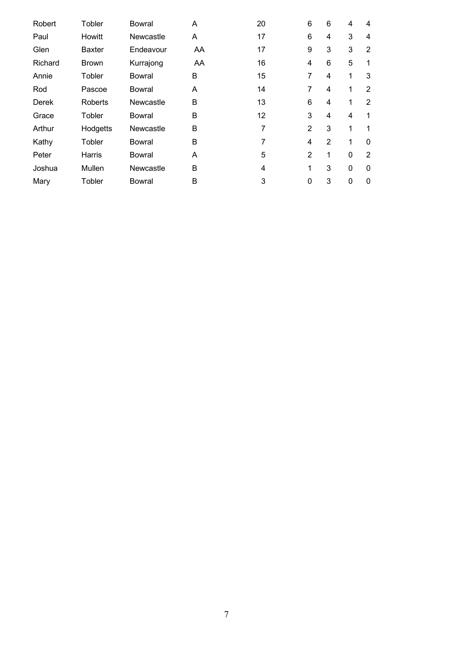| Robert  | Tobler        | <b>Bowral</b> | A  | 20 | 6              | 6 | 4           | 4              |
|---------|---------------|---------------|----|----|----------------|---|-------------|----------------|
| Paul    | Howitt        | Newcastle     | Α  | 17 | 6              | 4 | 3           | 4              |
| Glen    | <b>Baxter</b> | Endeavour     | AA | 17 | 9              | 3 | 3           | 2              |
| Richard | <b>Brown</b>  | Kurrajong     | AA | 16 | 4              | 6 | 5           | 1              |
| Annie   | <b>Tobler</b> | Bowral        | B  | 15 | 7              | 4 | 1           | 3              |
| Rod     | Pascoe        | Bowral        | A  | 14 | 7              | 4 | 1           | 2              |
| Derek   | Roberts       | Newcastle     | B  | 13 | 6              | 4 | 1           | 2              |
| Grace   | <b>Tobler</b> | Bowral        | B  | 12 | 3              | 4 | 4           | 1              |
| Arthur  | Hodgetts      | Newcastle     | B  | 7  | $\overline{2}$ | 3 | 1           | 1              |
| Kathy   | <b>Tobler</b> | Bowral        | B  | 7  | 4              | 2 | 1           | 0              |
| Peter   | Harris        | Bowral        | A  | 5  | $\overline{2}$ | 1 | 0           | $\overline{2}$ |
| Joshua  | Mullen        | Newcastle     | B  | 4  | 1              | 3 | 0           | 0              |
| Mary    | Tobler        | <b>Bowral</b> | B  | 3  | 0              | 3 | $\mathbf 0$ | 0              |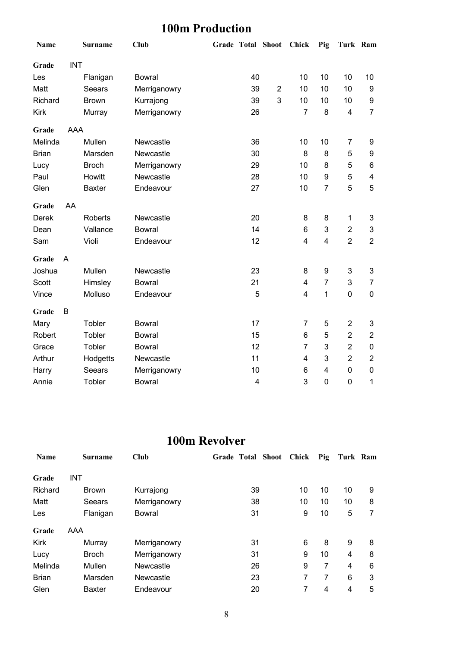### **100m Production**

| Name         |            | <b>Surname</b> | <b>Club</b>   |    | Grade Total Shoot Chick |                         | Pig                     | Turk Ram                |                |
|--------------|------------|----------------|---------------|----|-------------------------|-------------------------|-------------------------|-------------------------|----------------|
| Grade        | <b>INT</b> |                |               |    |                         |                         |                         |                         |                |
| Les          |            | Flanigan       | <b>Bowral</b> | 40 |                         | 10                      | 10                      | 10                      | 10             |
| Matt         |            | Seears         | Merriganowry  | 39 | $\overline{2}$          | 10                      | 10                      | 10                      | 9              |
| Richard      |            | <b>Brown</b>   | Kurrajong     | 39 | 3                       | 10                      | 10                      | 10                      | 9              |
| <b>Kirk</b>  |            | Murray         | Merriganowry  | 26 |                         | $\overline{7}$          | 8                       | $\overline{\mathbf{4}}$ | $\overline{7}$ |
| Grade        | AAA        |                |               |    |                         |                         |                         |                         |                |
| Melinda      |            | Mullen         | Newcastle     | 36 |                         | 10                      | 10                      | 7                       | 9              |
| <b>Brian</b> |            | Marsden        | Newcastle     | 30 |                         | 8                       | 8                       | 5                       | 9              |
| Lucy         |            | <b>Broch</b>   | Merriganowry  | 29 |                         | 10                      | 8                       | 5                       | 6              |
| Paul         |            | Howitt         | Newcastle     | 28 |                         | 10                      | 9                       | 5                       | 4              |
| Glen         |            | <b>Baxter</b>  | Endeavour     | 27 |                         | 10                      | $\overline{7}$          | 5                       | 5              |
| Grade        | AA         |                |               |    |                         |                         |                         |                         |                |
| <b>Derek</b> |            | Roberts        | Newcastle     | 20 |                         | 8                       | 8                       | 1                       | 3              |
| Dean         |            | Vallance       | <b>Bowral</b> | 14 |                         | 6                       | 3                       | $\overline{c}$          | 3              |
| Sam          |            | Violi          | Endeavour     | 12 |                         | $\overline{\mathbf{4}}$ | $\overline{\mathbf{4}}$ | $\overline{2}$          | $\overline{2}$ |
| Grade        | A          |                |               |    |                         |                         |                         |                         |                |
| Joshua       |            | Mullen         | Newcastle     | 23 |                         | 8                       | 9                       | 3                       | 3              |
| Scott        |            | Himsley        | <b>Bowral</b> | 21 |                         | 4                       | $\overline{7}$          | 3                       | 7              |
| Vince        |            | Molluso        | Endeavour     | 5  |                         | 4                       | 1                       | $\boldsymbol{0}$        | 0              |
| Grade        | B          |                |               |    |                         |                         |                         |                         |                |
| Mary         |            | Tobler         | <b>Bowral</b> | 17 |                         | $\overline{7}$          | 5                       | $\overline{2}$          | 3              |
| Robert       |            | Tobler         | <b>Bowral</b> | 15 |                         | 6                       | 5                       | $\overline{2}$          | $\overline{c}$ |
| Grace        |            | Tobler         | <b>Bowral</b> | 12 |                         | $\overline{7}$          | 3                       | $\overline{2}$          | 0              |
| Arthur       |            | Hodgetts       | Newcastle     | 11 |                         | $\overline{4}$          | 3                       | $\overline{2}$          | $\overline{2}$ |
| Harry        |            | Seears         | Merriganowry  | 10 |                         | 6                       | $\overline{\mathbf{4}}$ | $\pmb{0}$               | 0              |
| Annie        |            | Tobler         | <b>Bowral</b> | 4  |                         | 3                       | 0                       | $\pmb{0}$               | 1              |

#### **100m Revolver**

| <b>Name</b>  | <b>Surname</b> | Club          | <b>Shoot</b><br>Grade Total | Chick | Pig | Turk Ram |   |
|--------------|----------------|---------------|-----------------------------|-------|-----|----------|---|
| Grade        | INT            |               |                             |       |     |          |   |
| Richard      | <b>Brown</b>   | Kurrajong     | 39                          | 10    | 10  | 10       | 9 |
| Matt         | Seears         | Merriganowry  | 38                          | 10    | 10  | 10       | 8 |
| Les          | Flanigan       | <b>Bowral</b> | 31                          | 9     | 10  | 5        | 7 |
| Grade        | AAA            |               |                             |       |     |          |   |
| <b>Kirk</b>  | Murray         | Merriganowry  | 31                          | 6     | 8   | 9        | 8 |
| Lucy         | <b>Broch</b>   | Merriganowry  | 31                          | 9     | 10  | 4        | 8 |
| Melinda      | Mullen         | Newcastle     | 26                          | 9     | 7   | 4        | 6 |
| <b>Brian</b> | Marsden        | Newcastle     | 23                          | 7     | 7   | 6        | 3 |
| Glen         | <b>Baxter</b>  | Endeavour     | 20                          | 7     | 4   | 4        | 5 |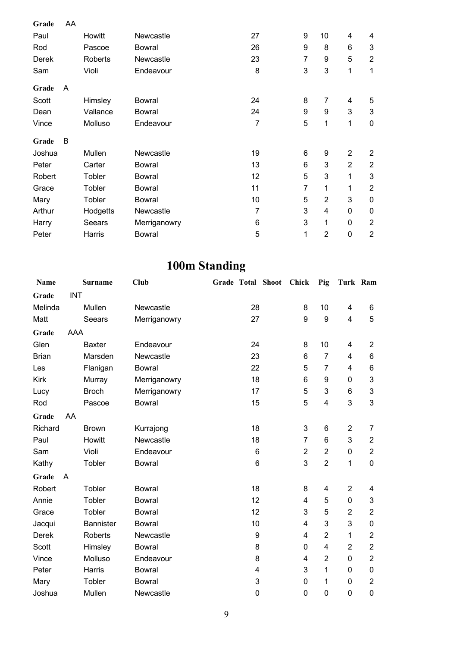| Grade  | AA |          |               |                |                  |                |                          |                           |
|--------|----|----------|---------------|----------------|------------------|----------------|--------------------------|---------------------------|
| Paul   |    | Howitt   | Newcastle     | 27             | $\boldsymbol{9}$ | 10             | $\overline{\mathcal{A}}$ | 4                         |
| Rod    |    | Pascoe   | Bowral        | 26             | 9                | 8              | 6                        | 3                         |
| Derek  |    | Roberts  | Newcastle     | 23             | 7                | 9              | 5                        | $\overline{2}$            |
| Sam    |    | Violi    | Endeavour     | 8              | 3                | 3              | 1                        | 1                         |
| Grade  | A  |          |               |                |                  |                |                          |                           |
| Scott  |    | Himsley  | Bowral        | 24             | 8                | 7              | 4                        | 5                         |
| Dean   |    | Vallance | <b>Bowral</b> | 24             | $\boldsymbol{9}$ | 9              | 3                        | $\mathsf 3$               |
| Vince  |    | Molluso  | Endeavour     | $\overline{7}$ | 5                | 1              | 1                        | $\mathbf 0$               |
| Grade  | B  |          |               |                |                  |                |                          |                           |
| Joshua |    | Mullen   | Newcastle     | 19             | 6                | 9              | $\overline{2}$           | $\overline{2}$            |
| Peter  |    | Carter   | <b>Bowral</b> | 13             | 6                | 3              | $\overline{2}$           | $\overline{2}$            |
| Robert |    | Tobler   | <b>Bowral</b> | 12             | 5                | 3              | 1                        | $\ensuremath{\mathsf{3}}$ |
| Grace  |    | Tobler   | <b>Bowral</b> | 11             | 7                | 1              | 1                        | $\overline{2}$            |
| Mary   |    | Tobler   | <b>Bowral</b> | 10             | 5                | $\overline{2}$ | 3                        | $\mathbf 0$               |
| Arthur |    | Hodgetts | Newcastle     | $\overline{7}$ | 3                | 4              | 0                        | 0                         |
| Harry  |    | Seears   | Merriganowry  | 6              | 3                | 1              | 0                        | $\overline{2}$            |
| Peter  |    | Harris   | <b>Bowral</b> | 5              | 1                | $\overline{2}$ | $\mathbf 0$              | $\overline{2}$            |

# **100m Standing**

| Name         |            | <b>Surname</b>   | Club          | Grade Total Shoot |                         | Chick          | Pig                     | Turk Ram       |                  |
|--------------|------------|------------------|---------------|-------------------|-------------------------|----------------|-------------------------|----------------|------------------|
| Grade        | <b>INT</b> |                  |               |                   |                         |                |                         |                |                  |
| Melinda      |            | Mullen           | Newcastle     |                   | 28                      | 8              | 10                      | 4              | 6                |
| Matt         |            | Seears           | Merriganowry  |                   | 27                      | 9              | 9                       | 4              | 5                |
| Grade        | AAA        |                  |               |                   |                         |                |                         |                |                  |
| Glen         |            | <b>Baxter</b>    | Endeavour     |                   | 24                      | 8              | 10                      | 4              | $\overline{2}$   |
| <b>Brian</b> |            | Marsden          | Newcastle     |                   | 23                      | 6              | $\overline{7}$          | 4              | 6                |
| Les          |            | Flanigan         | <b>Bowral</b> |                   | 22                      | 5              | $\overline{7}$          | 4              | 6                |
| <b>Kirk</b>  |            | Murray           | Merriganowry  |                   | 18                      | 6              | 9                       | 0              | 3                |
| Lucy         |            | <b>Broch</b>     | Merriganowry  |                   | 17                      | 5              | 3                       | 6              | $\mathfrak{B}$   |
| Rod          |            | Pascoe           | <b>Bowral</b> |                   | 15                      | 5              | 4                       | 3              | 3                |
| Grade        | AA         |                  |               |                   |                         |                |                         |                |                  |
| Richard      |            | <b>Brown</b>     | Kurrajong     |                   | 18                      | 3              | 6                       | $\overline{2}$ | $\overline{7}$   |
| Paul         |            | Howitt           | Newcastle     |                   | 18                      | 7              | 6                       | 3              | $\boldsymbol{2}$ |
| Sam          |            | Violi            | Endeavour     |                   | 6                       | $\overline{2}$ | $\overline{2}$          | $\pmb{0}$      | $\overline{2}$   |
| Kathy        |            | Tobler           | <b>Bowral</b> |                   | $6\phantom{1}6$         | 3              | $\overline{2}$          | 1              | $\mathbf 0$      |
| Grade        | A          |                  |               |                   |                         |                |                         |                |                  |
| Robert       |            | Tobler           | <b>Bowral</b> |                   | 18                      | 8              | $\overline{\mathbf{4}}$ | $\overline{2}$ | 4                |
| Annie        |            | Tobler           | <b>Bowral</b> |                   | 12                      | 4              | 5                       | $\pmb{0}$      | $\mathsf 3$      |
| Grace        |            | Tobler           | <b>Bowral</b> |                   | 12                      | 3              | 5                       | $\overline{2}$ | $\overline{2}$   |
| Jacqui       |            | <b>Bannister</b> | <b>Bowral</b> |                   | 10                      | $\overline{4}$ | 3                       | 3              | 0                |
| <b>Derek</b> |            | Roberts          | Newcastle     |                   | 9                       | 4              | $\overline{2}$          | 1              | $\overline{2}$   |
| Scott        |            | Himsley          | <b>Bowral</b> |                   | 8                       | 0              | $\overline{\mathbf{4}}$ | $\overline{2}$ | $\overline{2}$   |
| Vince        |            | Molluso          | Endeavour     |                   | 8                       | 4              | $\overline{2}$          | 0              | $\overline{2}$   |
| Peter        |            | Harris           | <b>Bowral</b> |                   | $\overline{\mathbf{4}}$ | 3              | 1                       | $\pmb{0}$      | $\pmb{0}$        |
| Mary         |            | Tobler           | <b>Bowral</b> |                   | 3                       | 0              | 1                       | 0              | $\overline{2}$   |
| Joshua       |            | Mullen           | Newcastle     |                   | $\mathbf 0$             | 0              | 0                       | 0              | $\boldsymbol{0}$ |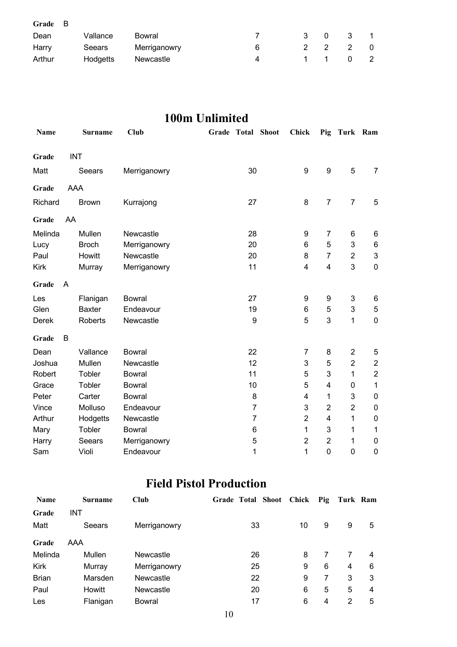| Grade B |          |              |   |               |                |               |    |
|---------|----------|--------------|---|---------------|----------------|---------------|----|
| Dean    | Vallance | Bowral       |   | 3             | $\overline{0}$ | -3            |    |
| Harry   | Seears   | Merriganowry | 6 | $\mathcal{P}$ | $\overline{2}$ | $\mathcal{P}$ | 0  |
| Arthur  | Hodgetts | Newcastle    | Δ |               | 1 1            |               | -2 |

#### **100m Unlimited**

| <b>Name</b>  |    | <b>Surname</b> | <b>Club</b>   | Grade | Total            | <b>Shoot</b> | <b>Chick</b>            | Pig                     | Turk Ram       |                         |
|--------------|----|----------------|---------------|-------|------------------|--------------|-------------------------|-------------------------|----------------|-------------------------|
| Grade        |    | <b>INT</b>     |               |       |                  |              |                         |                         |                |                         |
| Matt         |    | Seears         | Merriganowry  |       | 30               |              | 9                       | $\boldsymbol{9}$        | 5              | $\overline{7}$          |
| Grade        |    | AAA            |               |       |                  |              |                         |                         |                |                         |
| Richard      |    | <b>Brown</b>   | Kurrajong     |       | 27               |              | 8                       | $\overline{7}$          | $\overline{7}$ | 5                       |
| Grade        | AA |                |               |       |                  |              |                         |                         |                |                         |
| Melinda      |    | Mullen         | Newcastle     |       | 28               |              | 9                       | 7                       | 6              | 6                       |
| Lucy         |    | <b>Broch</b>   | Merriganowry  |       | 20               |              | 6                       | 5                       | 3              | 6                       |
| Paul         |    | Howitt         | Newcastle     |       | 20               |              | 8                       | $\overline{7}$          | $\overline{2}$ | 3                       |
| <b>Kirk</b>  |    | Murray         | Merriganowry  |       | 11               |              | $\overline{\mathbf{4}}$ | $\overline{\mathbf{4}}$ | 3              | $\mathbf 0$             |
| Grade        | A  |                |               |       |                  |              |                         |                         |                |                         |
| Les          |    | Flanigan       | <b>Bowral</b> |       | 27               |              | 9                       | 9                       | 3              | 6                       |
| Glen         |    | <b>Baxter</b>  | Endeavour     |       | 19               |              | 6                       | 5                       | 3              | $\,$ 5 $\,$             |
| <b>Derek</b> |    | Roberts        | Newcastle     |       | $\boldsymbol{9}$ |              | 5                       | 3                       | 1              | $\mathbf 0$             |
| Grade        | B  |                |               |       |                  |              |                         |                         |                |                         |
| Dean         |    | Vallance       | <b>Bowral</b> |       | 22               |              | 7                       | 8                       | $\overline{2}$ | 5                       |
| Joshua       |    | Mullen         | Newcastle     |       | 12               |              | 3                       | 5                       | $\overline{2}$ | $\overline{\mathbf{c}}$ |
| Robert       |    | Tobler         | <b>Bowral</b> |       | 11               |              | 5                       | 3                       | 1              | $\overline{c}$          |
| Grace        |    | Tobler         | <b>Bowral</b> |       | 10               |              | 5                       | 4                       | 0              | 1                       |
| Peter        |    | Carter         | <b>Bowral</b> |       | 8                |              | 4                       | 1                       | 3              | $\pmb{0}$               |
| Vince        |    | Molluso        | Endeavour     |       | $\overline{7}$   |              | 3                       | $\overline{2}$          | $\overline{2}$ | $\boldsymbol{0}$        |
| Arthur       |    | Hodgetts       | Newcastle     |       | $\overline{7}$   |              | $\overline{2}$          | $\overline{4}$          | 1              | $\mathbf 0$             |
| Mary         |    | Tobler         | <b>Bowral</b> |       | 6                |              | 1                       | 3                       | 1              | 1                       |
| Harry        |    | Seears         | Merriganowry  |       | 5                |              | $\overline{2}$          | $\overline{2}$          | 1              | 0                       |
| Sam          |    | Violi          | Endeavour     |       | 1                |              | 1                       | $\mathbf 0$             | $\mathbf 0$    | $\mathbf 0$             |

#### **Field Pistol Production**

| <b>Name</b>  | <b>Surname</b> | <b>Club</b>  | Grade Total Shoot Chick |    | Pig | Turk Ram |   |
|--------------|----------------|--------------|-------------------------|----|-----|----------|---|
| Grade        | INT            |              |                         |    |     |          |   |
| Matt         | Seears         | Merriganowry | 33                      | 10 | 9   | 9        | 5 |
| Grade        | AAA            |              |                         |    |     |          |   |
| Melinda      | Mullen         | Newcastle    | 26                      | 8  |     | 7        | 4 |
| <b>Kirk</b>  | Murray         | Merriganowry | 25                      | 9  | 6   | 4        | 6 |
| <b>Brian</b> | Marsden        | Newcastle    | 22                      | 9  |     | 3        | 3 |
| Paul         | Howitt         | Newcastle    | 20                      | 6  | 5   | 5        | 4 |
| Les          | Flanigan       | Bowral       | 17                      | 6  | 4   | 2        | 5 |